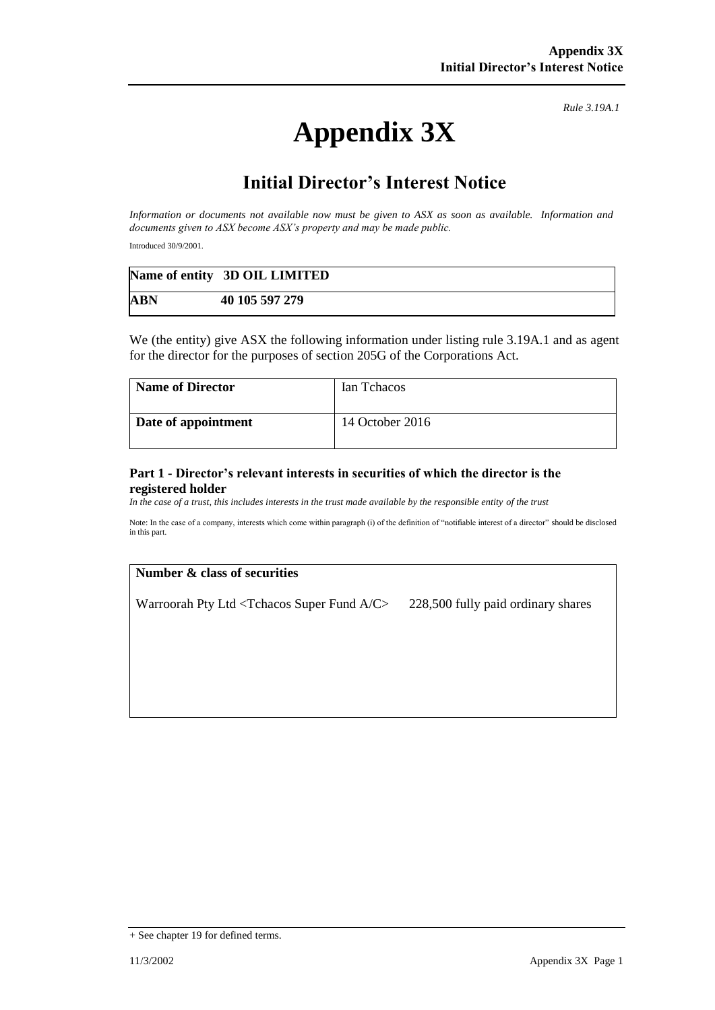# **Appendix 3X**

*Rule 3.19A.1*

# **Initial Director's Interest Notice**

*Information or documents not available now must be given to ASX as soon as available. Information and documents given to ASX become ASX's property and may be made public.*

Introduced 30/9/2001.

|            | Name of entity 3D OIL LIMITED |
|------------|-------------------------------|
| <b>ABN</b> | 40 105 597 279                |

We (the entity) give ASX the following information under listing rule 3.19A.1 and as agent for the director for the purposes of section 205G of the Corporations Act.

| <b>Name of Director</b> | Ian Tchacos     |
|-------------------------|-----------------|
| Date of appointment     | 14 October 2016 |

#### **Part 1 - Director's relevant interests in securities of which the director is the registered holder**

*In the case of a trust, this includes interests in the trust made available by the responsible entity of the trust*

Note: In the case of a company, interests which come within paragraph (i) of the definition of "notifiable interest of a director" should be disclosed in this part.

## **Number & class of securities**

Warroorah Pty Ltd <Tchacos Super Fund A/C> 228,500 fully paid ordinary shares

<sup>+</sup> See chapter 19 for defined terms.